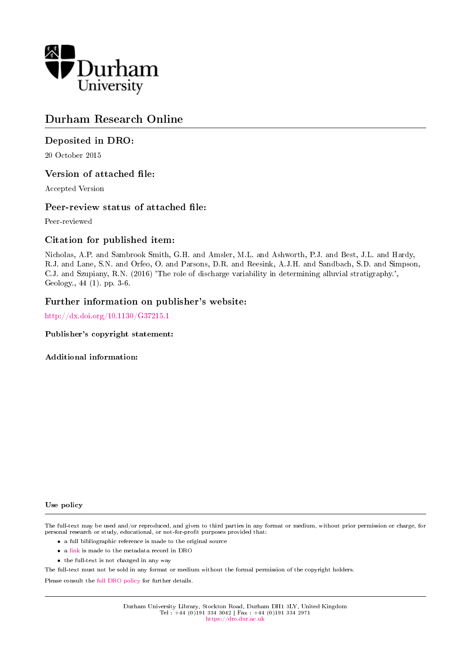

# Durham Research Online

#### Deposited in DRO:

20 October 2015

#### Version of attached file:

Accepted Version

#### Peer-review status of attached file:

Peer-reviewed

#### Citation for published item:

Nicholas, A.P. and Sambrook Smith, G.H. and Amsler, M.L. and Ashworth, P.J. and Best, J.L. and Hardy, R.J. and Lane, S.N. and Orfeo, O. and Parsons, D.R. and Reesink, A.J.H. and Sandbach, S.D. and Simpson, C.J. and Szupiany, R.N. (2016) 'The role of discharge variability in determining alluvial stratigraphy.', Geology., 44 (1). pp. 3-6.

#### Further information on publisher's website:

<http://dx.doi.org/10.1130/G37215.1>

#### Publisher's copyright statement:

#### Additional information:

#### Use policy

The full-text may be used and/or reproduced, and given to third parties in any format or medium, without prior permission or charge, for personal research or study, educational, or not-for-profit purposes provided that:

- a full bibliographic reference is made to the original source
- a [link](http://dro.dur.ac.uk/16617/) is made to the metadata record in DRO
- the full-text is not changed in any way

The full-text must not be sold in any format or medium without the formal permission of the copyright holders.

Please consult the [full DRO policy](https://dro.dur.ac.uk/policies/usepolicy.pdf) for further details.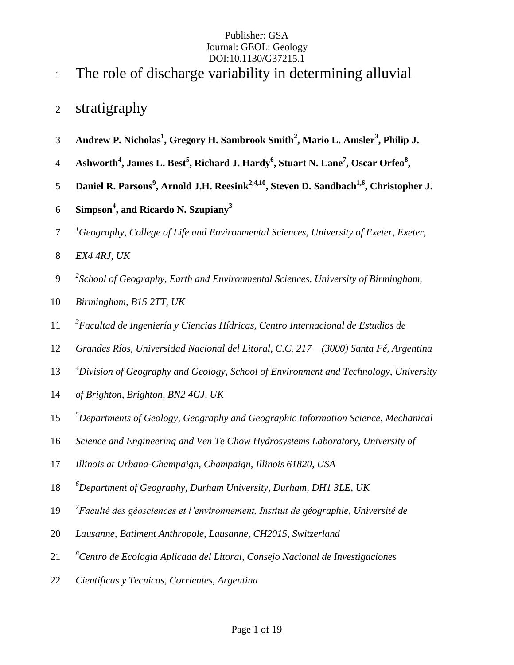- The role of discharge variability in determining alluvial
- stratigraphy
- **Andrew P. Nicholas<sup>1</sup> , Gregory H. Sambrook Smith<sup>2</sup> , Mario L. Amsler<sup>3</sup> , Philip J.**
- **Ashworth<sup>4</sup> , James L. Best<sup>5</sup> , Richard J. Hardy<sup>6</sup> , Stuart N. Lane<sup>7</sup> , Oscar Orfeo<sup>8</sup> ,**
- 5 Daniel R. Parsons<sup>9</sup>, Arnold J.H. Reesink<sup>2,4,10</sup>, Steven D. Sandbach<sup>1,6</sup>, Christopher J.
- **Simpson<sup>4</sup> , and Ricardo N. Szupiany<sup>3</sup>**
- <sup>1</sup> *Geography, College of Life and Environmental Sciences, University of Exeter, Exeter,*
- *EX4 4RJ, UK*
- *2 School of Geography, Earth and Environmental Sciences, University of Birmingham,*
- *Birmingham, B15 2TT, UK*
- *3 Facultad de Ingeniería y Ciencias Hídricas, Centro Internacional de Estudios de*
- *Grandes Ríos, Universidad Nacional del Litoral, C.C. 217 – (3000) Santa Fé, Argentina*
- *4 Division of Geography and Geology, School of Environment and Technology, University*
- *of Brighton, Brighton, BN2 4GJ, UK*
- *5 Departments of Geology, Geography and Geographic Information Science, Mechanical*
- *Science and Engineering and Ven Te Chow Hydrosystems Laboratory, University of*
- *Illinois at Urbana-Champaign, Champaign, Illinois 61820, USA*
- *6 Department of Geography, Durham University, Durham, DH1 3LE, UK*
- *7 Faculté des géosciences et l'environnement, Institut de géographie, Université de*
- *Lausanne, Batiment Anthropole, Lausanne, CH2015, Switzerland*
- *8 Centro de Ecologia Aplicada del Litoral, Consejo Nacional de Investigaciones*
- *Cientificas y Tecnicas, Corrientes, Argentina*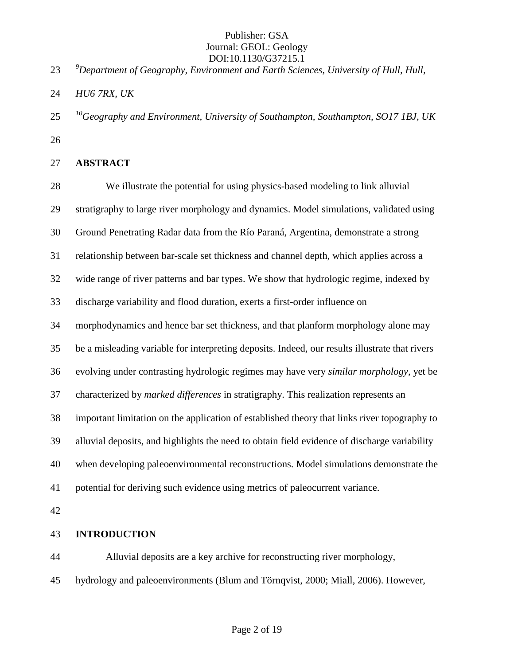*9 Department of Geography, Environment and Earth Sciences, University of Hull, Hull,* 

- *HU6 7RX, UK*
- *<sup>10</sup> Geography and Environment, University of Southampton, Southampton, SO17 1BJ, UK*
- 

## **ABSTRACT**

 We illustrate the potential for using physics-based modeling to link alluvial stratigraphy to large river morphology and dynamics. Model simulations, validated using Ground Penetrating Radar data from the Río Paraná, Argentina, demonstrate a strong relationship between bar-scale set thickness and channel depth, which applies across a wide range of river patterns and bar types. We show that hydrologic regime, indexed by discharge variability and flood duration, exerts a first-order influence on morphodynamics and hence bar set thickness, and that planform morphology alone may be a misleading variable for interpreting deposits. Indeed, our results illustrate that rivers evolving under contrasting hydrologic regimes may have very *similar morphology*, yet be characterized by *marked differences* in stratigraphy. This realization represents an important limitation on the application of established theory that links river topography to alluvial deposits, and highlights the need to obtain field evidence of discharge variability when developing paleoenvironmental reconstructions. Model simulations demonstrate the potential for deriving such evidence using metrics of paleocurrent variance.

## **INTRODUCTION**

 Alluvial deposits are a key archive for reconstructing river morphology, hydrology and paleoenvironments (Blum and Törnqvist, 2000; Miall, 2006). However,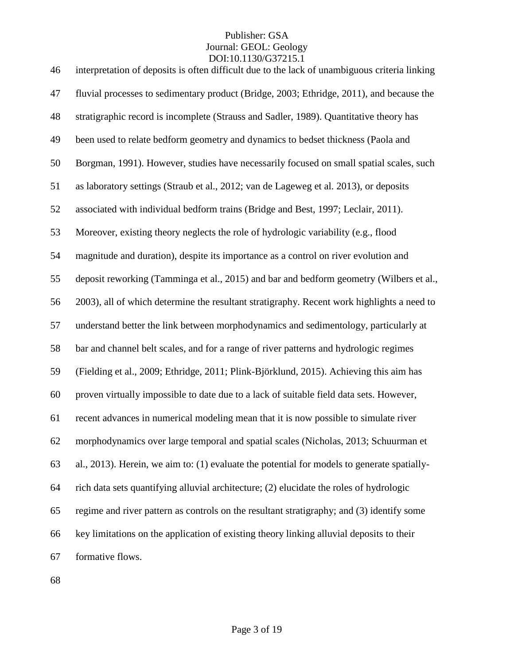| 46 | interpretation of deposits is often difficult due to the lack of unambiguous criteria linking |
|----|-----------------------------------------------------------------------------------------------|
| 47 | fluvial processes to sedimentary product (Bridge, 2003; Ethridge, 2011), and because the      |
| 48 | stratigraphic record is incomplete (Strauss and Sadler, 1989). Quantitative theory has        |
| 49 | been used to relate bedform geometry and dynamics to bedset thickness (Paola and              |
| 50 | Borgman, 1991). However, studies have necessarily focused on small spatial scales, such       |
| 51 | as laboratory settings (Straub et al., 2012; van de Lageweg et al. 2013), or deposits         |
| 52 | associated with individual bedform trains (Bridge and Best, 1997; Leclair, 2011).             |
| 53 | Moreover, existing theory neglects the role of hydrologic variability (e.g., flood            |
| 54 | magnitude and duration), despite its importance as a control on river evolution and           |
| 55 | deposit reworking (Tamminga et al., 2015) and bar and bedform geometry (Wilbers et al.,       |
| 56 | 2003), all of which determine the resultant stratigraphy. Recent work highlights a need to    |
| 57 | understand better the link between morphodynamics and sedimentology, particularly at          |
| 58 | bar and channel belt scales, and for a range of river patterns and hydrologic regimes         |
| 59 | (Fielding et al., 2009; Ethridge, 2011; Plink-Björklund, 2015). Achieving this aim has        |
| 60 | proven virtually impossible to date due to a lack of suitable field data sets. However,       |
| 61 | recent advances in numerical modeling mean that it is now possible to simulate river          |
| 62 | morphodynamics over large temporal and spatial scales (Nicholas, 2013; Schuurman et           |
| 63 | al., 2013). Herein, we aim to: (1) evaluate the potential for models to generate spatially-   |
| 64 | rich data sets quantifying alluvial architecture; (2) elucidate the roles of hydrologic       |
| 65 | regime and river pattern as controls on the resultant stratigraphy; and (3) identify some     |
| 66 | key limitations on the application of existing theory linking alluvial deposits to their      |
| 67 | formative flows.                                                                              |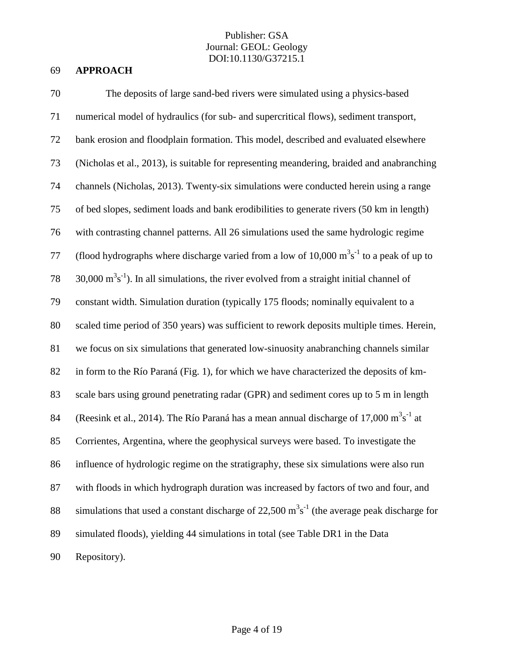## 69 **APPROACH**

| 70 | The deposits of large sand-bed rivers were simulated using a physics-based                                    |
|----|---------------------------------------------------------------------------------------------------------------|
| 71 | numerical model of hydraulics (for sub- and supercritical flows), sediment transport,                         |
| 72 | bank erosion and floodplain formation. This model, described and evaluated elsewhere                          |
| 73 | (Nicholas et al., 2013), is suitable for representing meandering, braided and anabranching                    |
| 74 | channels (Nicholas, 2013). Twenty-six simulations were conducted herein using a range                         |
| 75 | of bed slopes, sediment loads and bank erodibilities to generate rivers (50 km in length)                     |
| 76 | with contrasting channel patterns. All 26 simulations used the same hydrologic regime                         |
| 77 | (flood hydrographs where discharge varied from a low of 10,000 $m3s-1$ to a peak of up to                     |
| 78 | $30,000 \text{ m}^3\text{s}^{-1}$ ). In all simulations, the river evolved from a straight initial channel of |
| 79 | constant width. Simulation duration (typically 175 floods; nominally equivalent to a                          |
| 80 | scaled time period of 350 years) was sufficient to rework deposits multiple times. Herein,                    |
| 81 | we focus on six simulations that generated low-sinuosity anabranching channels similar                        |
| 82 | in form to the Río Paraná (Fig. 1), for which we have characterized the deposits of km-                       |
| 83 | scale bars using ground penetrating radar (GPR) and sediment cores up to 5 m in length                        |
| 84 | (Reesink et al., 2014). The Río Paraná has a mean annual discharge of 17,000 $m^3s^{-1}$ at                   |
| 85 | Corrientes, Argentina, where the geophysical surveys were based. To investigate the                           |
| 86 | influence of hydrologic regime on the stratigraphy, these six simulations were also run                       |
| 87 | with floods in which hydrograph duration was increased by factors of two and four, and                        |
| 88 | simulations that used a constant discharge of 22,500 $m3s-1$ (the average peak discharge for                  |
| 89 | simulated floods), yielding 44 simulations in total (see Table DR1 in the Data                                |
| 90 | Repository).                                                                                                  |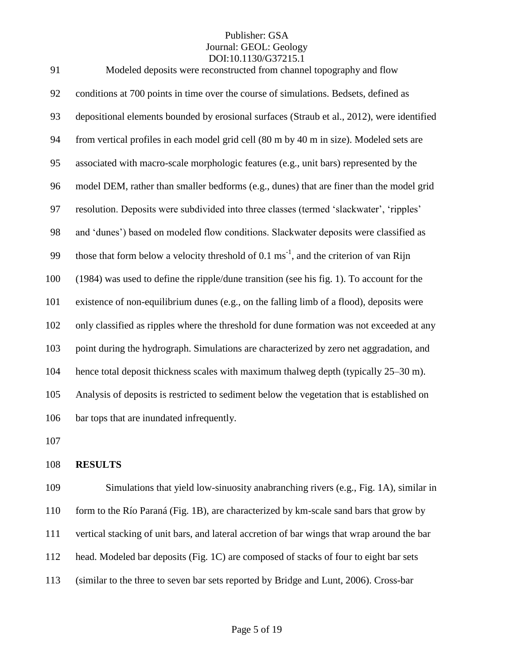| 91  | Modeled deposits were reconstructed from channel topography and flow                                |
|-----|-----------------------------------------------------------------------------------------------------|
| 92  | conditions at 700 points in time over the course of simulations. Bedsets, defined as                |
| 93  | depositional elements bounded by erosional surfaces (Straub et al., 2012), were identified          |
| 94  | from vertical profiles in each model grid cell (80 m by 40 m in size). Modeled sets are             |
| 95  | associated with macro-scale morphologic features (e.g., unit bars) represented by the               |
| 96  | model DEM, rather than smaller bedforms (e.g., dunes) that are finer than the model grid            |
| 97  | resolution. Deposits were subdivided into three classes (termed 'slackwater', 'ripples'             |
| 98  | and 'dunes') based on modeled flow conditions. Slackwater deposits were classified as               |
| 99  | those that form below a velocity threshold of $0.1 \text{ ms}^{-1}$ , and the criterion of van Rijn |
| 100 | (1984) was used to define the ripple/dune transition (see his fig. 1). To account for the           |
| 101 | existence of non-equilibrium dunes (e.g., on the falling limb of a flood), deposits were            |
| 102 | only classified as ripples where the threshold for dune formation was not exceeded at any           |
| 103 | point during the hydrograph. Simulations are characterized by zero net aggradation, and             |
| 104 | hence total deposit thickness scales with maximum thalweg depth (typically 25–30 m).                |
| 105 | Analysis of deposits is restricted to sediment below the vegetation that is established on          |
| 106 | bar tops that are inundated infrequently.                                                           |
|     |                                                                                                     |

#### **RESULTS**

 Simulations that yield low-sinuosity anabranching rivers (e.g., Fig. 1A), similar in form to the Río Paraná (Fig. 1B), are characterized by km-scale sand bars that grow by vertical stacking of unit bars, and lateral accretion of bar wings that wrap around the bar head. Modeled bar deposits (Fig. 1C) are composed of stacks of four to eight bar sets (similar to the three to seven bar sets reported by Bridge and Lunt, 2006). Cross-bar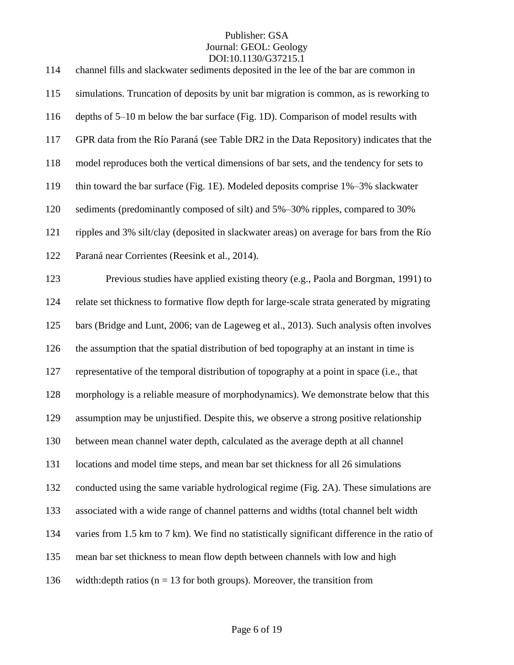| 114 | channel fills and slackwater sediments deposited in the lee of the bar are common in         |
|-----|----------------------------------------------------------------------------------------------|
| 115 | simulations. Truncation of deposits by unit bar migration is common, as is reworking to      |
| 116 | depths of 5–10 m below the bar surface (Fig. 1D). Comparison of model results with           |
| 117 | GPR data from the Río Paraná (see Table DR2 in the Data Repository) indicates that the       |
| 118 | model reproduces both the vertical dimensions of bar sets, and the tendency for sets to      |
| 119 | thin toward the bar surface (Fig. 1E). Modeled deposits comprise 1%-3% slackwater            |
| 120 | sediments (predominantly composed of silt) and 5%–30% ripples, compared to 30%               |
| 121 | ripples and 3% silt/clay (deposited in slackwater areas) on average for bars from the Río    |
| 122 | Paraná near Corrientes (Reesink et al., 2014).                                               |
| 123 | Previous studies have applied existing theory (e.g., Paola and Borgman, 1991) to             |
| 124 | relate set thickness to formative flow depth for large-scale strata generated by migrating   |
| 125 | bars (Bridge and Lunt, 2006; van de Lageweg et al., 2013). Such analysis often involves      |
| 126 | the assumption that the spatial distribution of bed topography at an instant in time is      |
| 127 | representative of the temporal distribution of topography at a point in space (i.e., that    |
| 128 | morphology is a reliable measure of morphodynamics). We demonstrate below that this          |
| 129 | assumption may be unjustified. Despite this, we observe a strong positive relationship       |
| 130 | between mean channel water depth, calculated as the average depth at all channel             |
| 131 | locations and model time steps, and mean bar set thickness for all 26 simulations            |
| 132 | conducted using the same variable hydrological regime (Fig. 2A). These simulations are       |
| 133 | associated with a wide range of channel patterns and widths (total channel belt width        |
| 134 | varies from 1.5 km to 7 km). We find no statistically significant difference in the ratio of |
| 135 | mean bar set thickness to mean flow depth between channels with low and high                 |
| 136 | width: depth ratios ( $n = 13$ for both groups). Moreover, the transition from               |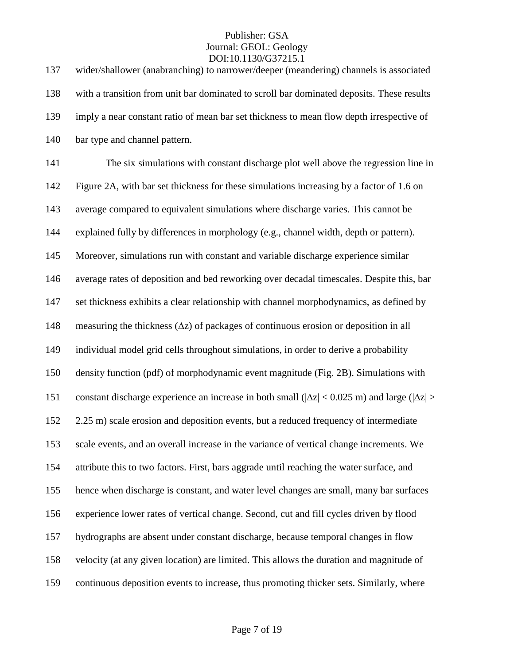| wider/shallower (anabranching) to narrower/deeper (meandering) channels is associated                        |
|--------------------------------------------------------------------------------------------------------------|
| with a transition from unit bar dominated to scroll bar dominated deposits. These results                    |
| imply a near constant ratio of mean bar set thickness to mean flow depth irrespective of                     |
| bar type and channel pattern.                                                                                |
| The six simulations with constant discharge plot well above the regression line in                           |
| Figure 2A, with bar set thickness for these simulations increasing by a factor of 1.6 on                     |
| average compared to equivalent simulations where discharge varies. This cannot be                            |
| explained fully by differences in morphology (e.g., channel width, depth or pattern).                        |
| Moreover, simulations run with constant and variable discharge experience similar                            |
| average rates of deposition and bed reworking over decadal timescales. Despite this, bar                     |
| set thickness exhibits a clear relationship with channel morphodynamics, as defined by                       |
| measuring the thickness $(\Delta z)$ of packages of continuous erosion or deposition in all                  |
| individual model grid cells throughout simulations, in order to derive a probability                         |
| density function (pdf) of morphodynamic event magnitude (Fig. 2B). Simulations with                          |
| constant discharge experience an increase in both small ( $ \Delta z $ < 0.025 m) and large ( $ \Delta z $ > |
| 2.25 m) scale erosion and deposition events, but a reduced frequency of intermediate                         |
| scale events, and an overall increase in the variance of vertical change increments. We                      |
| attribute this to two factors. First, bars aggrade until reaching the water surface, and                     |
| hence when discharge is constant, and water level changes are small, many bar surfaces                       |
| experience lower rates of vertical change. Second, cut and fill cycles driven by flood                       |
| hydrographs are absent under constant discharge, because temporal changes in flow                            |
| velocity (at any given location) are limited. This allows the duration and magnitude of                      |
| continuous deposition events to increase, thus promoting thicker sets. Similarly, where                      |
|                                                                                                              |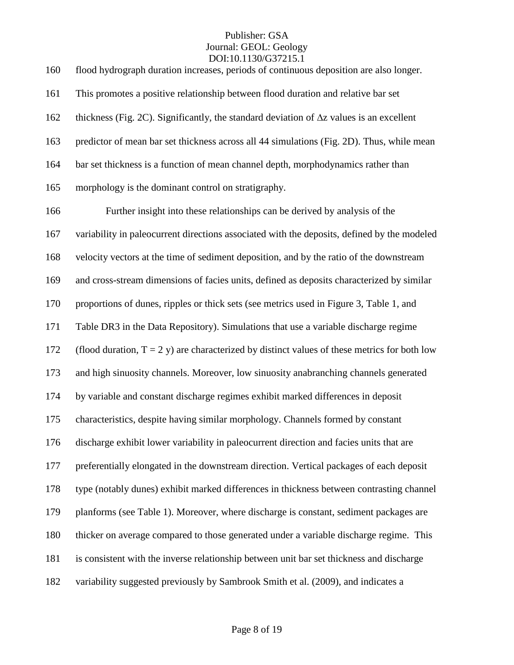| 160 | flood hydrograph duration increases, periods of continuous deposition are also longer.          |
|-----|-------------------------------------------------------------------------------------------------|
| 161 | This promotes a positive relationship between flood duration and relative bar set               |
| 162 | thickness (Fig. 2C). Significantly, the standard deviation of $\Delta z$ values is an excellent |
| 163 | predictor of mean bar set thickness across all 44 simulations (Fig. 2D). Thus, while mean       |
| 164 | bar set thickness is a function of mean channel depth, morphodynamics rather than               |
| 165 | morphology is the dominant control on stratigraphy.                                             |
| 166 | Further insight into these relationships can be derived by analysis of the                      |
| 167 | variability in paleocurrent directions associated with the deposits, defined by the modeled     |
| 168 | velocity vectors at the time of sediment deposition, and by the ratio of the downstream         |
| 169 | and cross-stream dimensions of facies units, defined as deposits characterized by similar       |
| 170 | proportions of dunes, ripples or thick sets (see metrics used in Figure 3, Table 1, and         |
| 171 | Table DR3 in the Data Repository). Simulations that use a variable discharge regime             |
| 172 | (flood duration, $T = 2$ y) are characterized by distinct values of these metrics for both low  |
| 173 | and high sinuosity channels. Moreover, low sinuosity anabranching channels generated            |
| 174 | by variable and constant discharge regimes exhibit marked differences in deposit                |
| 175 | characteristics, despite having similar morphology. Channels formed by constant                 |
| 176 | discharge exhibit lower variability in paleocurrent direction and facies units that are         |
| 177 | preferentially elongated in the downstream direction. Vertical packages of each deposit         |
| 178 | type (notably dunes) exhibit marked differences in thickness between contrasting channel        |
| 179 | planforms (see Table 1). Moreover, where discharge is constant, sediment packages are           |
| 180 | thicker on average compared to those generated under a variable discharge regime. This          |
| 181 | is consistent with the inverse relationship between unit bar set thickness and discharge        |
| 182 | variability suggested previously by Sambrook Smith et al. (2009), and indicates a               |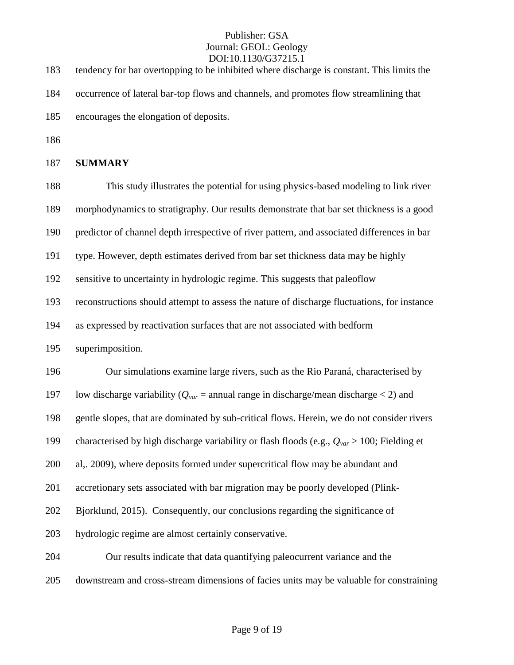| 183 | DOI:10.1130/G37215.1<br>tendency for bar overtopping to be inhibited where discharge is constant. This limits the |
|-----|-------------------------------------------------------------------------------------------------------------------|
| 184 | occurrence of lateral bar-top flows and channels, and promotes flow streamlining that                             |
| 185 | encourages the elongation of deposits.                                                                            |
| 186 |                                                                                                                   |
| 187 | <b>SUMMARY</b>                                                                                                    |
| 188 | This study illustrates the potential for using physics-based modeling to link river                               |
| 189 | morphodynamics to stratigraphy. Our results demonstrate that bar set thickness is a good                          |
| 190 | predictor of channel depth irrespective of river pattern, and associated differences in bar                       |
| 191 | type. However, depth estimates derived from bar set thickness data may be highly                                  |
| 192 | sensitive to uncertainty in hydrologic regime. This suggests that paleoflow                                       |
| 193 | reconstructions should attempt to assess the nature of discharge fluctuations, for instance                       |
| 194 | as expressed by reactivation surfaces that are not associated with bedform                                        |
| 195 | superimposition.                                                                                                  |
| 196 | Our simulations examine large rivers, such as the Rio Paraná, characterised by                                    |
| 197 | low discharge variability ( $Q_{var}$ = annual range in discharge/mean discharge < 2) and                         |
| 198 | gentle slopes, that are dominated by sub-critical flows. Herein, we do not consider rivers                        |
| 199 | characterised by high discharge variability or flash floods (e.g., $Q_{var} > 100$ ; Fielding et                  |
| 200 | al, 2009), where deposits formed under supercritical flow may be abundant and                                     |
| 201 | accretionary sets associated with bar migration may be poorly developed (Plink-                                   |
| 202 | Bjorklund, 2015). Consequently, our conclusions regarding the significance of                                     |
| 203 | hydrologic regime are almost certainly conservative.                                                              |
| 204 | Our results indicate that data quantifying paleocurrent variance and the                                          |
| 205 | downstream and cross-stream dimensions of facies units may be valuable for constraining                           |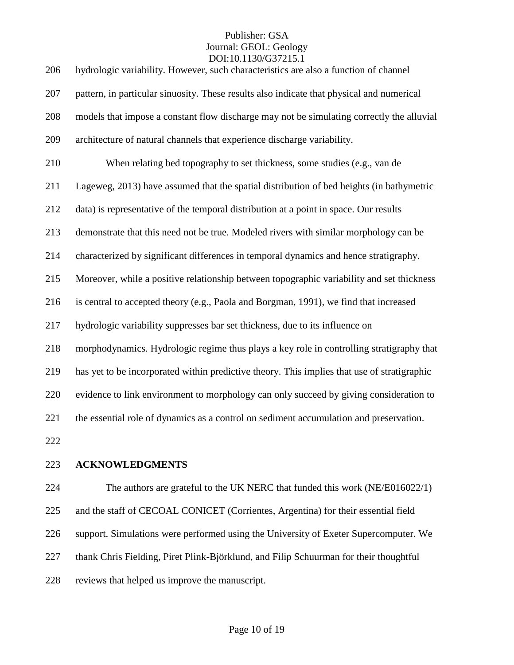| 206 | hydrologic variability. However, such characteristics are also a function of channel        |
|-----|---------------------------------------------------------------------------------------------|
| 207 | pattern, in particular sinuosity. These results also indicate that physical and numerical   |
| 208 | models that impose a constant flow discharge may not be simulating correctly the alluvial   |
| 209 | architecture of natural channels that experience discharge variability.                     |
| 210 | When relating bed topography to set thickness, some studies (e.g., van de                   |
| 211 | Lageweg, 2013) have assumed that the spatial distribution of bed heights (in bathymetric    |
| 212 | data) is representative of the temporal distribution at a point in space. Our results       |
| 213 | demonstrate that this need not be true. Modeled rivers with similar morphology can be       |
| 214 | characterized by significant differences in temporal dynamics and hence stratigraphy.       |
| 215 | Moreover, while a positive relationship between topographic variability and set thickness   |
| 216 | is central to accepted theory (e.g., Paola and Borgman, 1991), we find that increased       |
| 217 | hydrologic variability suppresses bar set thickness, due to its influence on                |
| 218 | morphodynamics. Hydrologic regime thus plays a key role in controlling stratigraphy that    |
| 219 | has yet to be incorporated within predictive theory. This implies that use of stratigraphic |
| 220 | evidence to link environment to morphology can only succeed by giving consideration to      |
| 221 | the essential role of dynamics as a control on sediment accumulation and preservation.      |
| 222 |                                                                                             |

**ACKNOWLEDGMENTS**

 The authors are grateful to the UK NERC that funded this work (NE/E016022/1) and the staff of CECOAL CONICET (Corrientes, Argentina) for their essential field support. Simulations were performed using the University of Exeter Supercomputer. We thank Chris Fielding, Piret Plink-Björklund, and Filip Schuurman for their thoughtful reviews that helped us improve the manuscript.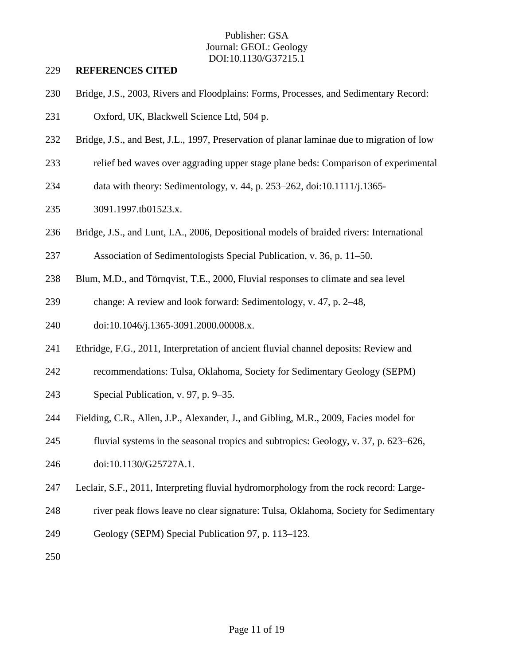#### **REFERENCES CITED**

- Bridge, J.S., 2003, Rivers and Floodplains: Forms, Processes, and Sedimentary Record:
- Oxford, UK, Blackwell Science Ltd, 504 p.
- Bridge, J.S., and Best, J.L., 1997, Preservation of planar laminae due to migration of low
- relief bed waves over aggrading upper stage plane beds: Comparison of experimental
- data with theory: Sedimentology, v. 44, p. 253–262, doi:10.1111/j.1365-
- 3091.1997.tb01523.x.
- Bridge, J.S., and Lunt, I.A., 2006, Depositional models of braided rivers: International
- Association of Sedimentologists Special Publication, v. 36, p. 11–50.
- Blum, M.D., and Törnqvist, T.E., 2000, Fluvial responses to climate and sea level
- change: A review and look forward: Sedimentology, v. 47, p. 2–48,
- doi:10.1046/j.1365-3091.2000.00008.x.
- Ethridge, F.G., 2011, Interpretation of ancient fluvial channel deposits: Review and
- recommendations: Tulsa, Oklahoma, Society for Sedimentary Geology (SEPM)
- Special Publication, v. 97, p. 9–35.
- Fielding, C.R., Allen, J.P., Alexander, J., and Gibling, M.R., 2009, Facies model for
- fluvial systems in the seasonal tropics and subtropics: Geology, v. 37, p. 623–626,
- doi:10.1130/G25727A.1.
- Leclair, S.F., 2011, Interpreting fluvial hydromorphology from the rock record: Large-
- river peak flows leave no clear signature: Tulsa, Oklahoma, Society for Sedimentary
- Geology (SEPM) Special Publication 97, p. 113–123.
-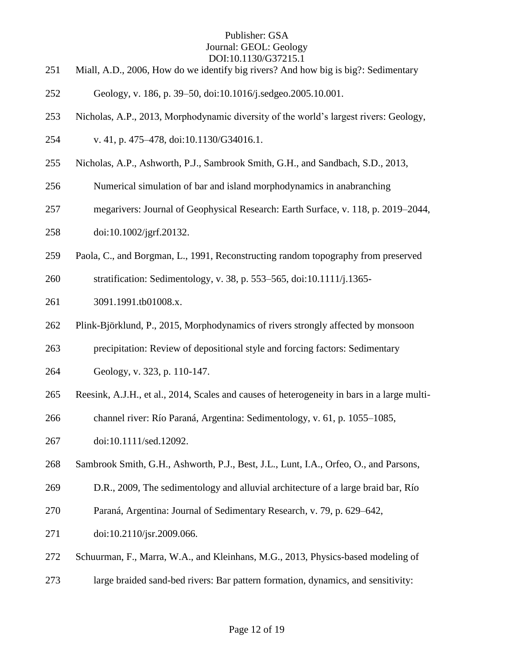- Miall, A.D., 2006, How do we identify big rivers? And how big is big?: Sedimentary
- Geology, v. 186, p. 39–50, doi:10.1016/j.sedgeo.2005.10.001.
- Nicholas, A.P., 2013, Morphodynamic diversity of the world's largest rivers: Geology,
- v. 41, p. 475–478, doi:10.1130/G34016.1.
- Nicholas, A.P., Ashworth, P.J., Sambrook Smith, G.H., and Sandbach, S.D., 2013,
- Numerical simulation of bar and island morphodynamics in anabranching
- megarivers: Journal of Geophysical Research: Earth Surface, v. 118, p. 2019–2044, doi:10.1002/jgrf.20132.
- Paola, C., and Borgman, L., 1991, Reconstructing random topography from preserved
- stratification: Sedimentology, v. 38, p. 553–565, doi:10.1111/j.1365-
- 3091.1991.tb01008.x.
- Plink-Björklund, P., 2015, Morphodynamics of rivers strongly affected by monsoon
- precipitation: Review of depositional style and forcing factors: Sedimentary
- Geology, v. 323, p. 110-147.
- Reesink, A.J.H., et al., 2014, Scales and causes of heterogeneity in bars in a large multi-
- channel river: Río Paraná, Argentina: Sedimentology, v. 61, p. 1055–1085,
- doi:10.1111/sed.12092.
- Sambrook Smith, G.H., Ashworth, P.J., Best, J.L., Lunt, I.A., Orfeo, O., and Parsons,
- D.R., 2009, The sedimentology and alluvial architecture of a large braid bar, Río
- Paraná, Argentina: Journal of Sedimentary Research, v. 79, p. 629–642,
- doi:10.2110/jsr.2009.066.
- Schuurman, F., Marra, W.A., and Kleinhans, M.G., 2013, Physics-based modeling of
- large braided sand-bed rivers: Bar pattern formation, dynamics, and sensitivity: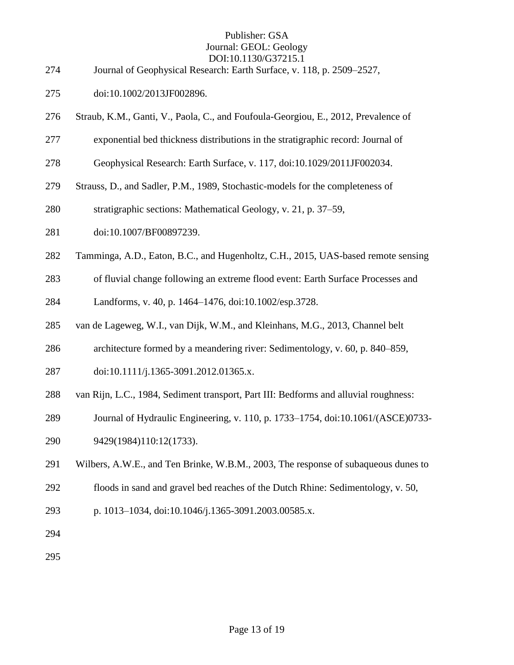- Journal of Geophysical Research: Earth Surface, v. 118, p. 2509–2527,
- doi:10.1002/2013JF002896.
- Straub, K.M., Ganti, V., Paola, C., and Foufoula-Georgiou, E., 2012, Prevalence of
- exponential bed thickness distributions in the stratigraphic record: Journal of
- Geophysical Research: Earth Surface, v. 117, doi:10.1029/2011JF002034.
- Strauss, D., and Sadler, P.M., 1989, Stochastic-models for the completeness of
- stratigraphic sections: Mathematical Geology, v. 21, p. 37–59,
- 281 doi:10.1007/BF00897239.
- Tamminga, A.D., Eaton, B.C., and Hugenholtz, C.H., 2015, UAS-based remote sensing
- of fluvial change following an extreme flood event: Earth Surface Processes and
- Landforms, v. 40, p. 1464–1476, doi:10.1002/esp.3728.
- van de Lageweg, W.I., van Dijk, W.M., and Kleinhans, M.G., 2013, Channel belt
- architecture formed by a meandering river: Sedimentology, v. 60, p. 840–859,
- doi:10.1111/j.1365-3091.2012.01365.x.
- van Rijn, L.C., 1984, Sediment transport, Part III: Bedforms and alluvial roughness:
- Journal of Hydraulic Engineering, v. 110, p. 1733–1754, doi:10.1061/(ASCE)0733-
- 9429(1984)110:12(1733).
- Wilbers, A.W.E., and Ten Brinke, W.B.M., 2003, The response of subaqueous dunes to
- floods in sand and gravel bed reaches of the Dutch Rhine: Sedimentology, v. 50,
- p. 1013–1034, doi:10.1046/j.1365-3091.2003.00585.x.
-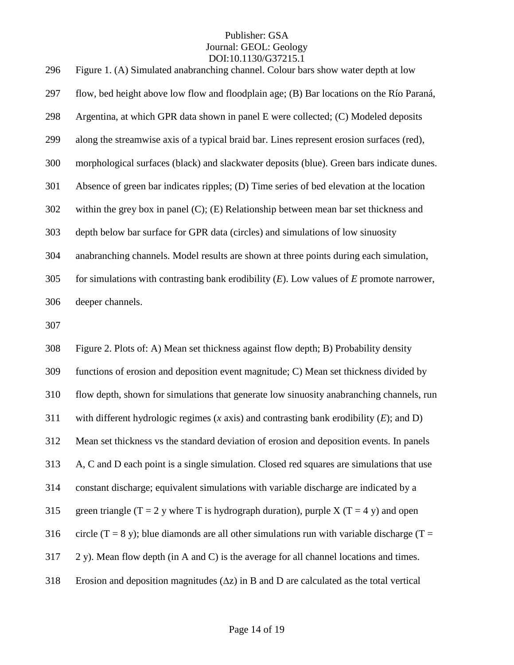| 296 | Figure 1. (A) Simulated anabranching channel. Colour bars show water depth at low                    |
|-----|------------------------------------------------------------------------------------------------------|
| 297 | flow, bed height above low flow and floodplain age; (B) Bar locations on the Río Paraná,             |
| 298 | Argentina, at which GPR data shown in panel E were collected; (C) Modeled deposits                   |
| 299 | along the streamwise axis of a typical braid bar. Lines represent erosion surfaces (red),            |
| 300 | morphological surfaces (black) and slackwater deposits (blue). Green bars indicate dunes.            |
| 301 | Absence of green bar indicates ripples; (D) Time series of bed elevation at the location             |
| 302 | within the grey box in panel $(C)$ ; $(E)$ Relationship between mean bar set thickness and           |
| 303 | depth below bar surface for GPR data (circles) and simulations of low sinuosity                      |
| 304 | anabranching channels. Model results are shown at three points during each simulation,               |
| 305 | for simulations with contrasting bank erodibility $(E)$ . Low values of $E$ promote narrower,        |
| 306 | deeper channels.                                                                                     |
| 307 |                                                                                                      |
| 308 | Figure 2. Plots of: A) Mean set thickness against flow depth; B) Probability density                 |
| 309 | functions of erosion and deposition event magnitude; C) Mean set thickness divided by                |
| 310 | flow depth, shown for simulations that generate low sinuosity anabranching channels, run             |
| 311 | with different hydrologic regimes $(x \text{ axis})$ and contrasting bank erodibility $(E)$ ; and D) |
| 312 | Mean set thickness vs the standard deviation of erosion and deposition events. In panels             |
| 313 | A, C and D each point is a single simulation. Closed red squares are simulations that use            |
| 314 | constant discharge; equivalent simulations with variable discharge are indicated by a                |
| 315 | green triangle (T = 2 y where T is hydrograph duration), purple X (T = 4 y) and open                 |
| 316 | circle (T = 8 y); blue diamonds are all other simulations run with variable discharge (T =           |
| 317 | 2 y). Mean flow depth (in A and C) is the average for all channel locations and times.               |
|     |                                                                                                      |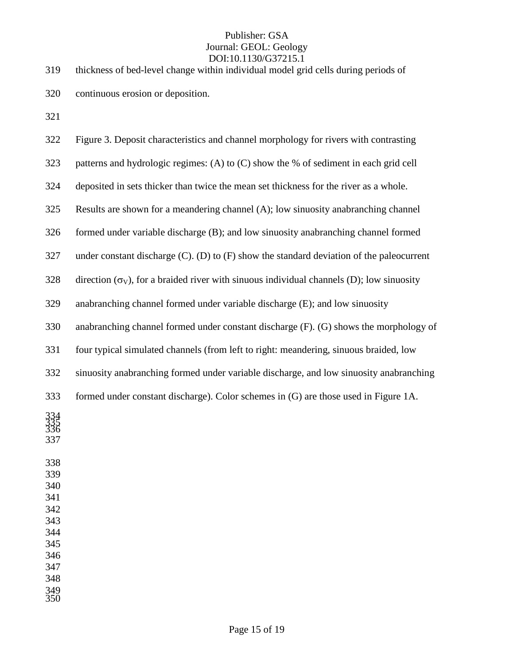| 319                                                                                     | thickness of bed-level change within individual model grid cells during periods of               |
|-----------------------------------------------------------------------------------------|--------------------------------------------------------------------------------------------------|
| 320                                                                                     | continuous erosion or deposition.                                                                |
| 321                                                                                     |                                                                                                  |
| 322                                                                                     | Figure 3. Deposit characteristics and channel morphology for rivers with contrasting             |
| 323                                                                                     | patterns and hydrologic regimes: (A) to (C) show the % of sediment in each grid cell             |
| 324                                                                                     | deposited in sets thicker than twice the mean set thickness for the river as a whole.            |
| 325                                                                                     | Results are shown for a meandering channel (A); low sinuosity anabranching channel               |
| 326                                                                                     | formed under variable discharge (B); and low sinuosity anabranching channel formed               |
| 327                                                                                     | under constant discharge $(C)$ . $(D)$ to $(F)$ show the standard deviation of the paleocurrent  |
| 328                                                                                     | direction $(\sigma_V)$ , for a braided river with sinuous individual channels (D); low sinuosity |
| 329                                                                                     | anabranching channel formed under variable discharge (E); and low sinuosity                      |
| 330                                                                                     | anabranching channel formed under constant discharge (F). (G) shows the morphology of            |
| 331                                                                                     | four typical simulated channels (from left to right: meandering, sinuous braided, low            |
| 332                                                                                     | sinuosity anabranching formed under variable discharge, and low sinuosity anabranching           |
| 333                                                                                     | formed under constant discharge). Color schemes in (G) are those used in Figure 1A.              |
| $334$<br>$335$<br>$336$<br>337                                                          |                                                                                                  |
| 338<br>339<br>340<br>341<br>342<br>343<br>344<br>345<br>346<br>347<br>348<br>349<br>350 |                                                                                                  |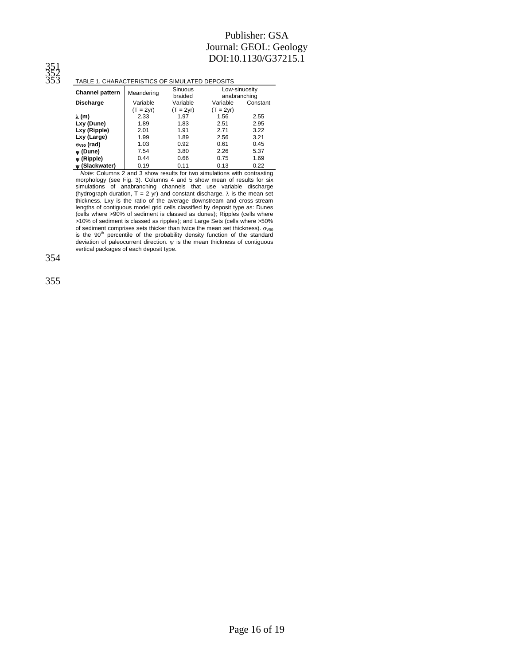#### TABLE 1. CHARACTERISTICS OF SIMULATED DEPOSITS

| TABLE T. UNARAU LERISTIUS UF SIMULATED DEFUSITS |             |                           |                               |          |
|-------------------------------------------------|-------------|---------------------------|-------------------------------|----------|
| <b>Channel pattern</b>                          | Meandering  | <b>Sinuous</b><br>braided | Low-sinuosity<br>anabranching |          |
| <b>Discharge</b>                                | Variable    | Variable                  | Variable                      | Constant |
|                                                 | $(T = 2vr)$ | $(T = 2vr)$               | $(T = 2vr)$                   |          |
| λ (m)                                           | 2.33        | 1.97                      | 1.56                          | 2.55     |
| Lxy (Dune)                                      | 1.89        | 1.83                      | 2.51                          | 2.95     |
| Lxy (Ripple)                                    | 2.01        | 1.91                      | 2.71                          | 3.22     |
| Lxy (Large)                                     | 1.99        | 1.89                      | 2.56                          | 3.21     |
| $\sigma_{V90}$ (rad)                            | 1.03        | 0.92                      | 0.61                          | 0.45     |
| $\Psi$ (Dune)                                   | 7.54        | 3.80                      | 2.26                          | 5.37     |
| $\psi$ (Ripple)                                 | 0.44        | 0.66                      | 0.75                          | 1.69     |
| w (Slackwater)                                  | 0.19        | 0.11                      | 0.13                          | 0.22     |

 *Note:* Columns 2 and 3 show results for two simulations with contrasting morphology (see Fig. 3). Columns 4 and 5 show mean of results for six simulations of anabranching channels that use variable discharge (hydrograph duration,  $T = 2$  yr) and constant discharge.  $\lambda$  is the mean set thickness. Lxy is the ratio of the average downstream and cross-stream lengths of contiguous model grid cells classified by deposit type as: Dunes (cells where >90% of sediment is classed as dunes); Ripples (cells where >10% of sediment is classed as ripples); and Large Sets (cells where >50% of sediment comprises sets thicker than twice the mean set thickness).  $\sigma_{\text{V90}}$ <br>is the 90<sup>th</sup> percentile of the probability density function of the standard deviation of paleocurrent direction.  $\psi$  is the mean thickness of contiguous vertical packages of each deposit type.

354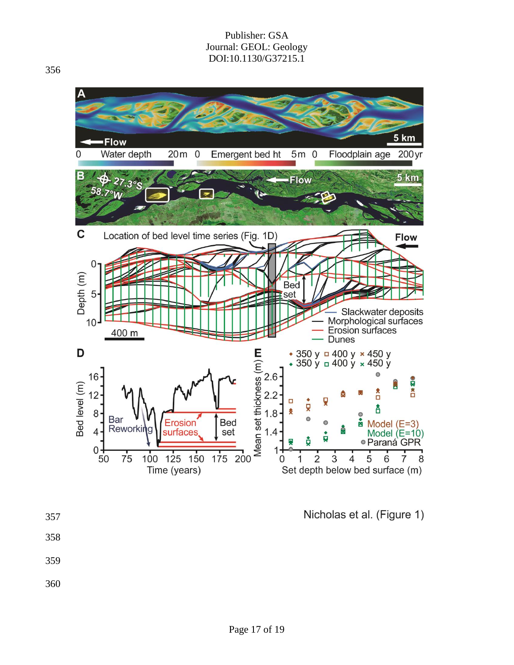

Nicholas et al. (Figure 1)

- 357
- 358
- 359
- 360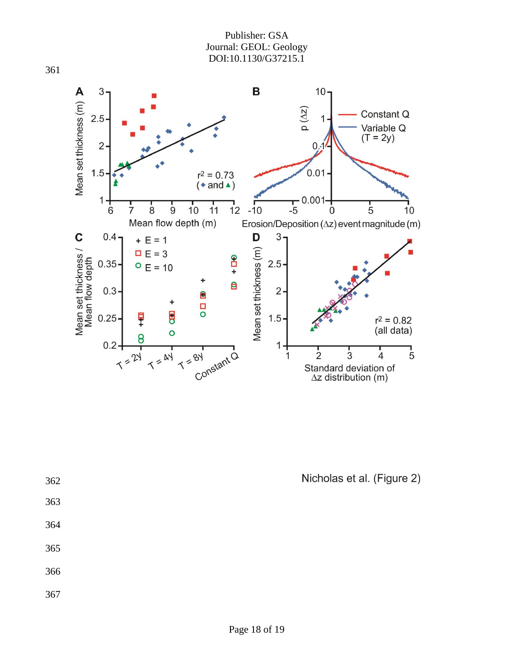

Nicholas et al. (Figure 2)

| 362 |  | Nicholas et al. (Figure |
|-----|--|-------------------------|
| 363 |  |                         |
| 364 |  |                         |
| 365 |  |                         |
| 366 |  |                         |
| 367 |  |                         |